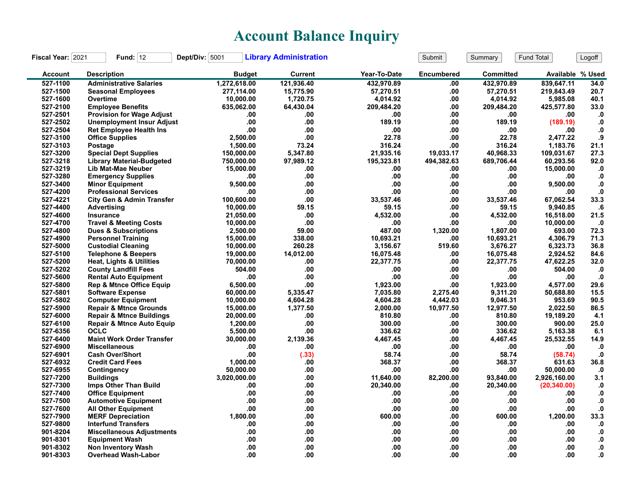## **Account Balance Inquiry**

| Fiscal Year: 2021 | Fund: $12$                           | Dept/Div: 5001 | <b>Library Administration</b> |              | Submit            | Summary          | Fund Total       | Logoff        |
|-------------------|--------------------------------------|----------------|-------------------------------|--------------|-------------------|------------------|------------------|---------------|
| <b>Account</b>    | <b>Description</b>                   | <b>Budget</b>  | Current                       | Year-To-Date | <b>Encumbered</b> | <b>Committed</b> | Available % Used |               |
| 527-1100          | <b>Administrative Salaries</b>       | 1,272,618.00   | 121.936.40                    | 432.970.89   | .00               | 432,970.89       | 839.647.11       | 34.0          |
| 527-1500          | <b>Seasonal Employees</b>            | 277,114.00     | 15,775.90                     | 57,270.51    | .00               | 57,270.51        | 219,843.49       | 20.7          |
| 527-1600          | Overtime                             | 10,000.00      | 1,720.75                      | 4,014.92     | .00               | 4,014.92         | 5,985.08         | 40.1          |
| 527-2100          | <b>Employee Benefits</b>             | 635,062.00     | 64,430.04                     | 209,484.20   | .00               | 209,484.20       | 425,577.80       | 33.0          |
| 527-2501          | <b>Provision for Wage Adjust</b>     | .00            | .00                           | .00          | .00               | .00              | .00              | $\mathbf{0}$  |
| 527-2502          | <b>Unemployment Insur Adjust</b>     | .00            | .00                           | 189.19       | .00               | 189.19           | (189.19)         | ${\bf .0}$    |
| 527-2504          | <b>Ret Employee Health Ins</b>       | .00            | .00                           | .00          | .00               | .00              | .00              | $\cdot$       |
| 527-3100          | <b>Office Supplies</b>               | 2,500.00       | .00                           | 22.78        | .00               | 22.78            | 2,477.22         | .9            |
| 527-3103          | Postage                              | 1,500.00       | 73.24                         | 316.24       | .00               | 316.24           | 1,183.76         | 21.1          |
| 527-3200          | <b>Special Dept Supplies</b>         | 150,000.00     | 5,347.80                      | 21,935.16    | 19,033.17         | 40,968.33        | 109,031.67       | 27.3          |
| 527-3218          | <b>Library Material-Budgeted</b>     | 750,000.00     | 97,989.12                     | 195,323.81   | 494,382.63        | 689,706.44       | 60,293.56        | 92.0          |
| 527-3219          | Lib Mat-Mae Neuber                   | 15,000.00      | .00                           | .00          | .00               | .00              | 15,000.00        | $\mathbf{.0}$ |
| 527-3280          | <b>Emergency Supplies</b>            | .00            | .00                           | .00          | .00               | .00              | .00              | $\mathbf{0}$  |
| 527-3400          | <b>Minor Equipment</b>               | 9,500.00       | .00                           | .00          | .00               | .00              | 9,500.00         | $\cdot$       |
| 527-4200          | <b>Professional Services</b>         | .00            | .00                           | .00          | .00               | .00              | .00              | ${\bf .0}$    |
| 527-4221          | <b>City Gen &amp; Admin Transfer</b> | 100,600.00     | .00                           | 33,537.46    | .00               | 33,537.46        | 67,062.54        | 33.3          |
| 527-4400          | Advertising                          | 10,000.00      | 59.15                         | 59.15        | .00               | 59.15            | 9,940.85         | .6            |
| 527-4600          | Insurance                            | 21,050.00      | .00                           | 4,532.00     | .00.              | 4,532.00         | 16,518.00        | 21.5          |
| 527-4700          | <b>Travel &amp; Meeting Costs</b>    | 10,000.00      | .00                           | .00          | .00               | .00              | 10,000.00        | $\cdot$       |
| 527-4800          | <b>Dues &amp; Subscriptions</b>      | 2,500.00       | 59.00                         | 487.00       | 1,320.00          | 1.807.00         | 693.00           | 72.3          |
| 527-4900          | <b>Personnel Training</b>            | 15,000.00      | 338.00                        | 10,693.21    | .00               | 10,693.21        | 4,306.79         | 71.3          |
| 527-5000          | <b>Custodial Cleaning</b>            | 10,000.00      | 260.28                        | 3.156.67     | 519.60            | 3,676.27         | 6,323.73         | 36.8          |
| 527-5100          | <b>Telephone &amp; Beepers</b>       | 19,000.00      | 14,012.00                     | 16,075.48    | .00               | 16,075.48        | 2,924.52         | 84.6          |
| 527-5200          | <b>Heat, Lights &amp; Utilities</b>  | 70,000.00      | .00                           | 22,377.75    | .00               | 22,377.75        | 47,622.25        | 32.0          |
| 527-5202          | <b>County Landfill Fees</b>          | 504.00         | .00                           | .00          | .00               | .00              | 504.00           | $\cdot$       |
| 527-5600          | <b>Rental Auto Equipment</b>         | .00            | .00                           | .00          | .00               | .00              | .00              | $\cdot$ 0     |
| 527-5800          | <b>Rep &amp; Mtnce Office Equip</b>  | 6,500.00       | .00                           | 1,923.00     | .00               | 1,923.00         | 4,577.00         | 29.6          |
| 527-5801          | <b>Software Expense</b>              | 60,000.00      | 5,335.47                      | 7,035.80     | 2,275.40          | 9,311.20         | 50,688.80        | 15.5          |
| 527-5802          | <b>Computer Equipment</b>            | 10,000.00      | 4,604.28                      | 4,604.28     | 4,442.03          | 9,046.31         | 953.69           | 90.5          |
| 527-5900          | <b>Repair &amp; Mtnce Grounds</b>    | 15,000.00      | 1,377.50                      | 2,000.00     | 10,977.50         | 12,977.50        | 2,022.50         | 86.5          |
| 527-6000          | <b>Repair &amp; Mtnce Buildings</b>  | 20,000.00      | .00                           | 810.80       | .00               | 810.80           | 19,189.20        | 4.1           |
| 527-6100          | <b>Repair &amp; Mtnce Auto Equip</b> | 1,200.00       | .00                           | 300.00       | .00               | 300.00           | 900.00           | 25.0          |
| 527-6356          | <b>OCLC</b>                          | 5,500.00       | .00                           | 336.62       | .00               | 336.62           | 5,163.38         | 6.1           |
| 527-6400          | <b>Maint Work Order Transfer</b>     | 30,000.00      | 2,139.36                      | 4,467.45     | .00               | 4,467.45         | 25,532.55        | 14.9          |
| 527-6900          | <b>Miscellaneous</b>                 | .00            | .00                           | .00          | .00               | .00              | .00              | $\cdot$ 0     |
| 527-6901          | <b>Cash Over/Short</b>               | .00            | (.33)                         | 58.74        | .00               | 58.74            | (58.74)          | .0            |
| 527-6932          | <b>Credit Card Fees</b>              | 1.000.00       | .00                           | 368.37       | .00               | 368.37           | 631.63           | 36.8          |
| 527-6955          | Contingency                          | 50,000.00      | .00                           | .00          | .00               | .00              | 50,000.00        | $\cdot$       |
| 527-7200          | <b>Buildings</b>                     | 3,020,000.00   | .00                           | 11,640.00    | 82,200.00         | 93,840.00        | 2,926,160.00     | 3.1           |
| 527-7300          | Imps Other Than Build                | .00            | .00                           | 20,340.00    | .00               | 20,340.00        | (20, 340.00)     | $\mathbf{.0}$ |
| 527-7400          | <b>Office Equipment</b>              | .00            | .00                           | .00          | .00               | .00              | .00              | $\mathbf{.0}$ |
| 527-7500          | <b>Automotive Equipment</b>          | .00            | .00                           | .00          | .00.              | .00              | .00              | ${\bf .0}$    |
| 527-7600          | <b>All Other Equipment</b>           | .00            | .00                           | .00          | .00               | .00              | .00              | $\mathbf{0}$  |
| 527-7900          | <b>MERF Depreciation</b>             | 1,800.00       | .00                           | 600.00       | .00               | 600.00           | 1,200.00         | 33.3          |
| 527-9800          | <b>Interfund Transfers</b>           | .00            | .00                           | .00          | .00               | .00              | .00              | $\cdot$ 0     |
| 901-8204          | <b>Miscellaneous Adjustments</b>     | .00            | .00                           | .00          | .00               | .00              | .00              | $\mathbf{.0}$ |
| 901-8301          | <b>Equipment Wash</b>                | .00            | .00                           | .00          | .00               | .00              | .00              | .0            |
| 901-8302          | <b>Non Inventory Wash</b>            | .00            | .00                           | .00          | .00               | .00              | .00              | 0.            |
| 901-8303          | <b>Overhead Wash-Labor</b>           | .00            | .00                           | .00          | .00.              | .00              | .00              | 0.            |